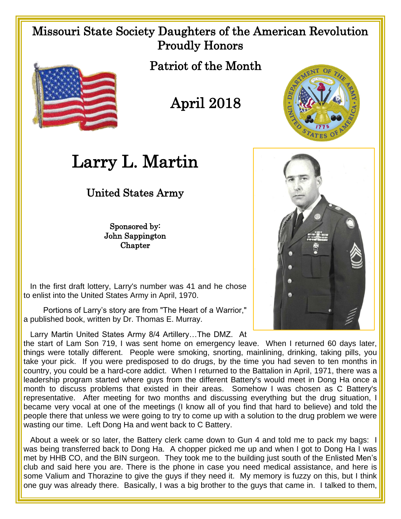## Missouri State Society Daughters of the American Revolution Proudly Honors



Patriot of the Month

## April 2018



## Larry L. Martin

United States Army

Sponsored by: John Sappington Chapter

 In the first draft lottery, Larry's number was 41 and he chose to enlist into the United States Army in April, 1970.

 Portions of Larry's story are from "The Heart of a Warrior," a published book, written by Dr. Thomas E. Murray.

Larry Martin United States Army 8/4 Artillery…The DMZ. At

the start of Lam Son 719, I was sent home on emergency leave. When I returned 60 days later, things were totally different. People were smoking, snorting, mainlining, drinking, taking pills, you take your pick. If you were predisposed to do drugs, by the time you had seven to ten months in country, you could be a hard-core addict. When I returned to the Battalion in April, 1971, there was a leadership program started where guys from the different Battery's would meet in Dong Ha once a month to discuss problems that existed in their areas. Somehow I was chosen as C Battery's representative. After meeting for two months and discussing everything but the drug situation, I became very vocal at one of the meetings (I know all of you find that hard to believe) and told the people there that unless we were going to try to come up with a solution to the drug problem we were wasting our time. Left Dong Ha and went back to C Battery.

 About a week or so later, the Battery clerk came down to Gun 4 and told me to pack my bags: I was being transferred back to Dong Ha. A chopper picked me up and when I got to Dong Ha I was met by HHB CO, and the BIN surgeon. They took me to the building just south of the Enlisted Men's club and said here you are. There is the phone in case you need medical assistance, and here is some Valium and Thorazine to give the guys if they need it. My memory is fuzzy on this, but I think one guy was already there. Basically, I was a big brother to the guys that came in. I talked to them,